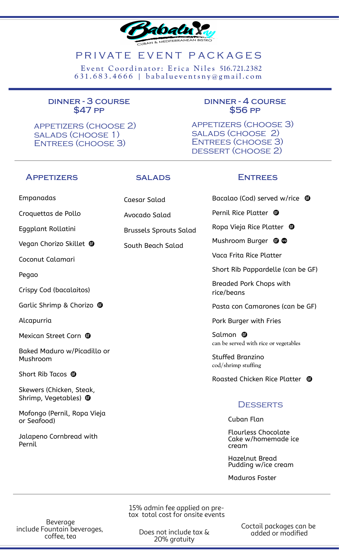

# PRIVATE EVENT PACKAGES

 $631.683.4666$  | babalueventsny@gmail.com Event Coordinator: Erica Niles 516.721.2382

#### **dinner - 3 course \$47 pp**

appetizers (choose 2) salads (choose 1) Entrees (choose 3)

#### **dinner - 4 course \$56 pp**

appetizers (choose 3) salads (choose 2) Entrees (choose 3) dessert (choose 2)

### **Appetizers salads Entrees**

Caesar Salad

Avocado Salad

Brussels Sprouts Salad

South Beach Salad

Bacalao (Cod) served w/rice  $\mathbf \Phi$ 

Pernil Rice Platter <sup>®</sup>

Ropa Vieja Rice Platter

Mushroom Burger  $\oplus \, \otimes$ 

Vaca Frita Rice Platter

Short Rib Pappardelle (can be GF)

Breaded Pork Chops with rice/beans

Pasta con Camarones (can be GF)

Pork Burger with Fries

Salmon <sup>o</sup> can be served with rice or vegetables

Stuffed Branzino cod/shrimp stuffing

Roasted Chicken Rice Platter <sup>1</sup>

## **DESSERTS**

Cuban Flan

Flourless Chocolate Cake w/homemade ice cream

Hazelnut Bread Pudding w/ice cream

Maduros Foster

15% admin fee applied on pretax total cost for onsite events

Beverage include Fountain beverages, coffee, tea

Does not include tax & 20% gratuity

Coctail packages can be added or modified

Empanadas

Croquettas de Pollo

Eggplant Rollatini

Vegan Chorizo Skillet

Coconut Calamari

Pegao

Crispy Cod (bacalaitos)

Garlic Shrimp & Chorizo <sup>®</sup>

Alcapurria

Mexican Street Corn  $\mathbf \Phi$ 

Baked Maduro w/Picadillo or Mushroom

Short Rib Tacos <sup>of</sup>

Skewers (Chicken, Steak, Shrimp, Vegetables) <sup>o</sup>

Mofongo (Pernil, Ropa Vieja or Seafood)

Jalapeno Cornbread with Pernil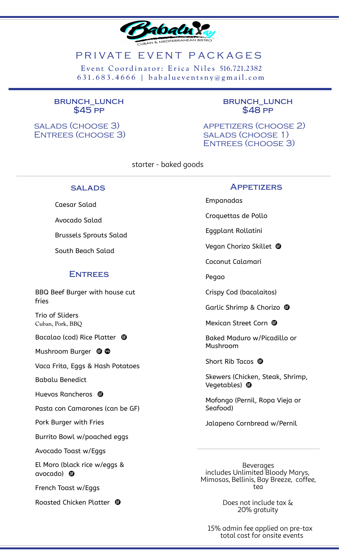

# PRIVATE EVENT PACKAGES

6 31. 6 8 3 . 4 6 6 6 | b a b a l u e v e n ts n y @ g m a i l . c om Event Coordinator: Erica Niles 516.721.2382

#### **brunch\_lunch \$45 pp**

salads (choose 3) Entrees (choose 3)

#### **brunch\_lunch \$48 pp**

appetizers (choose 2) salads (choose 1) Entrees (choose 3)

starter - baked goods

#### **salads**

Caesar Salad Avocado Salad

Brussels Sprouts Salad

South Beach Salad

### **Entrees**

BBQ Beef Burger with house cut fries

Trio of Sliders Cuban, Pork, BBQ

Bacalao (cod) Rice Platter

Mushroom Burger  $\oplus \, \otimes$ 

Vaca Frita, Eggs & Hash Potatoes

Babalu Benedict

Huevos Rancheros <sup>o</sup>

Pasta con Camarones (can be GF)

Pork Burger with Fries

Burrito Bowl w/poached eggs

Avocado Toast w/Eggs

El Moro (black rice w/eggs & avocado)

French Toast w/Eggs

Roasted Chicken Platter

#### **Appetizers**

Empanadas

Croquettas de Pollo

Eggplant Rollatini

Vegan Chorizo Skillet

Coconut Calamari

Pegao

Crispy Cod (bacalaitos)

Garlic Shrimp & Chorizo  $\mathbf \Phi$ 

Mexican Street Corn <sup>®</sup>

Baked Maduro w/Picadillo or Mushroom

Short Rib Tacos <sup>®</sup>

Skewers (Chicken, Steak, Shrimp, Vegetables) <sup>o</sup>

Mofongo (Pernil, Ropa Vieja or Seafood)

Jalapeno Cornbread w/Pernil

**Beverages** includes Unlimited Bloody Marys, Mimosas, Bellinis, Bay Breeze, coffee, tea

> Does not include tax & 20% gratuity

15% admin fee applied on pre-tax total cost for onsite events